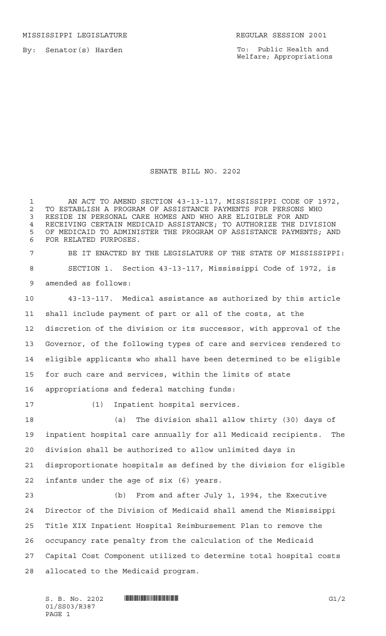MISSISSIPPI LEGISLATURE **REGULAR SESSION 2001** 

By: Senator(s) Harden

To: Public Health and Welfare; Appropriations

## SENATE BILL NO. 2202

1 AN ACT TO AMEND SECTION 43-13-117, MISSISSIPPI CODE OF 1972, 2 TO ESTABLISH A PROGRAM OF ASSISTANCE PAYMENTS FOR PERSONS WHO<br>3 RESIDE IN PERSONAL CARE HOMES AND WHO ARE ELIGIBLE FOR AND RESIDE IN PERSONAL CARE HOMES AND WHO ARE ELIGIBLE FOR AND 4 RECEIVING CERTAIN MEDICAID ASSISTANCE; TO AUTHORIZE THE DIVISION<br>5 OF MEDICAID TO ADMINISTER THE PROGRAM OF ASSISTANCE PAYMENTS· ANI OF MEDICAID TO ADMINISTER THE PROGRAM OF ASSISTANCE PAYMENTS; AND FOR RELATED PURPOSES. BE IT ENACTED BY THE LEGISLATURE OF THE STATE OF MISSISSIPPI: SECTION 1. Section 43-13-117, Mississippi Code of 1972, is amended as follows: 43-13-117. Medical assistance as authorized by this article shall include payment of part or all of the costs, at the discretion of the division or its successor, with approval of the Governor, of the following types of care and services rendered to eligible applicants who shall have been determined to be eligible for such care and services, within the limits of state appropriations and federal matching funds: (1) Inpatient hospital services. (a) The division shall allow thirty (30) days of inpatient hospital care annually for all Medicaid recipients. The division shall be authorized to allow unlimited days in disproportionate hospitals as defined by the division for eligible infants under the age of six (6) years. (b) From and after July 1, 1994, the Executive Director of the Division of Medicaid shall amend the Mississippi Title XIX Inpatient Hospital Reimbursement Plan to remove the occupancy rate penalty from the calculation of the Medicaid Capital Cost Component utilized to determine total hospital costs allocated to the Medicaid program.

 $S. B. No. 2202$  **ININIA R387.** G1/2 01/SS03/R387 PAGE 1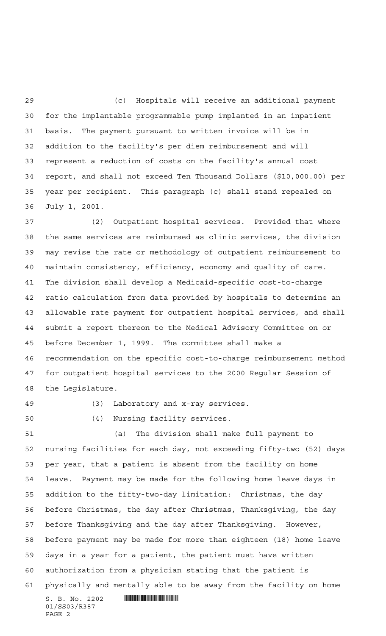(c) Hospitals will receive an additional payment for the implantable programmable pump implanted in an inpatient basis. The payment pursuant to written invoice will be in addition to the facility's per diem reimbursement and will represent a reduction of costs on the facility's annual cost report, and shall not exceed Ten Thousand Dollars (\$10,000.00) per year per recipient. This paragraph (c) shall stand repealed on July 1, 2001.

 (2) Outpatient hospital services. Provided that where the same services are reimbursed as clinic services, the division may revise the rate or methodology of outpatient reimbursement to maintain consistency, efficiency, economy and quality of care. The division shall develop a Medicaid-specific cost-to-charge ratio calculation from data provided by hospitals to determine an allowable rate payment for outpatient hospital services, and shall submit a report thereon to the Medical Advisory Committee on or before December 1, 1999. The committee shall make a recommendation on the specific cost-to-charge reimbursement method for outpatient hospital services to the 2000 Regular Session of the Legislature.

(3) Laboratory and x-ray services.

(4) Nursing facility services.

 $S. B. No. 2202$  . The set of the set of  $S. B. N_O.$  (a) The division shall make full payment to nursing facilities for each day, not exceeding fifty-two (52) days per year, that a patient is absent from the facility on home leave. Payment may be made for the following home leave days in addition to the fifty-two-day limitation: Christmas, the day before Christmas, the day after Christmas, Thanksgiving, the day before Thanksgiving and the day after Thanksgiving. However, before payment may be made for more than eighteen (18) home leave days in a year for a patient, the patient must have written authorization from a physician stating that the patient is physically and mentally able to be away from the facility on home

01/SS03/R387 PAGE 2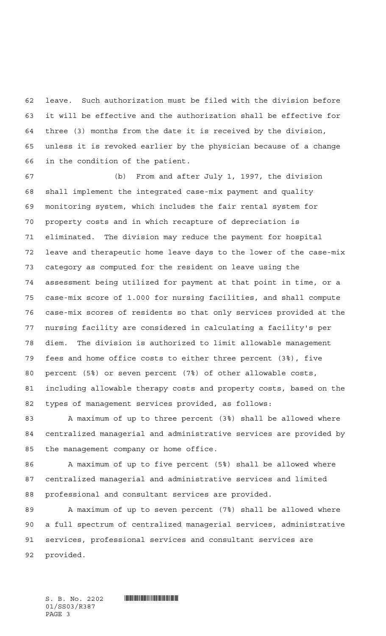leave. Such authorization must be filed with the division before it will be effective and the authorization shall be effective for three (3) months from the date it is received by the division, unless it is revoked earlier by the physician because of a change in the condition of the patient.

 (b) From and after July 1, 1997, the division shall implement the integrated case-mix payment and quality monitoring system, which includes the fair rental system for property costs and in which recapture of depreciation is eliminated. The division may reduce the payment for hospital leave and therapeutic home leave days to the lower of the case-mix category as computed for the resident on leave using the assessment being utilized for payment at that point in time, or a case-mix score of 1.000 for nursing facilities, and shall compute case-mix scores of residents so that only services provided at the nursing facility are considered in calculating a facility's per diem. The division is authorized to limit allowable management fees and home office costs to either three percent (3%), five percent (5%) or seven percent (7%) of other allowable costs, including allowable therapy costs and property costs, based on the types of management services provided, as follows:

83 A maximum of up to three percent (3%) shall be allowed where centralized managerial and administrative services are provided by the management company or home office.

86 A maximum of up to five percent (5%) shall be allowed where centralized managerial and administrative services and limited professional and consultant services are provided.

89 A maximum of up to seven percent (7%) shall be allowed where a full spectrum of centralized managerial services, administrative services, professional services and consultant services are provided.

01/SS03/R387 PAGE 3

 $S. B. No. 2202$  . So  $R3.$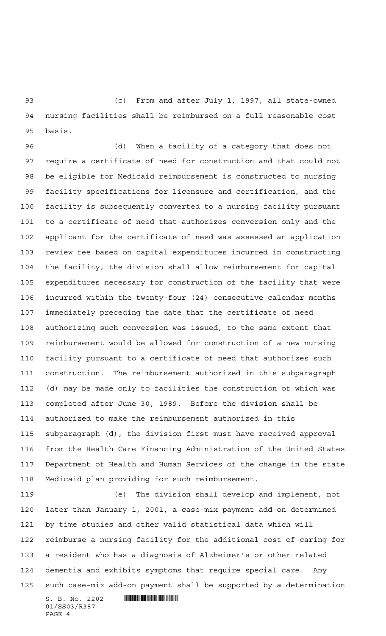(c) From and after July 1, 1997, all state-owned nursing facilities shall be reimbursed on a full reasonable cost basis.

 (d) When a facility of a category that does not require a certificate of need for construction and that could not be eligible for Medicaid reimbursement is constructed to nursing facility specifications for licensure and certification, and the facility is subsequently converted to a nursing facility pursuant to a certificate of need that authorizes conversion only and the applicant for the certificate of need was assessed an application review fee based on capital expenditures incurred in constructing the facility, the division shall allow reimbursement for capital expenditures necessary for construction of the facility that were incurred within the twenty-four (24) consecutive calendar months immediately preceding the date that the certificate of need authorizing such conversion was issued, to the same extent that reimbursement would be allowed for construction of a new nursing facility pursuant to a certificate of need that authorizes such construction. The reimbursement authorized in this subparagraph (d) may be made only to facilities the construction of which was completed after June 30, 1989. Before the division shall be authorized to make the reimbursement authorized in this subparagraph (d), the division first must have received approval from the Health Care Financing Administration of the United States Department of Health and Human Services of the change in the state Medicaid plan providing for such reimbursement.

 (e) The division shall develop and implement, not later than January 1, 2001, a case-mix payment add-on determined by time studies and other valid statistical data which will reimburse a nursing facility for the additional cost of caring for a resident who has a diagnosis of Alzheimer's or other related dementia and exhibits symptoms that require special care. Any such case-mix add-on payment shall be supported by a determination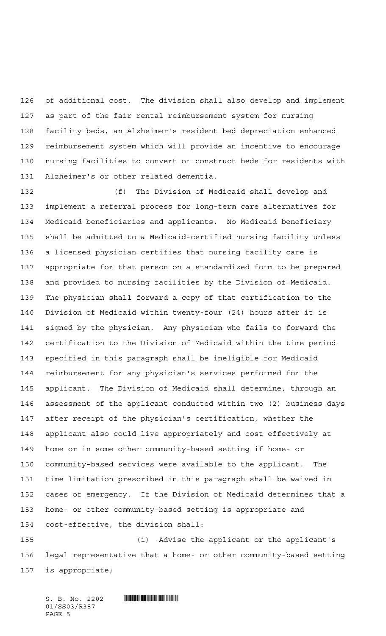of additional cost. The division shall also develop and implement as part of the fair rental reimbursement system for nursing facility beds, an Alzheimer's resident bed depreciation enhanced reimbursement system which will provide an incentive to encourage nursing facilities to convert or construct beds for residents with Alzheimer's or other related dementia.

 (f) The Division of Medicaid shall develop and implement a referral process for long-term care alternatives for Medicaid beneficiaries and applicants. No Medicaid beneficiary shall be admitted to a Medicaid-certified nursing facility unless a licensed physician certifies that nursing facility care is appropriate for that person on a standardized form to be prepared and provided to nursing facilities by the Division of Medicaid. The physician shall forward a copy of that certification to the Division of Medicaid within twenty-four (24) hours after it is signed by the physician. Any physician who fails to forward the certification to the Division of Medicaid within the time period specified in this paragraph shall be ineligible for Medicaid reimbursement for any physician's services performed for the applicant. The Division of Medicaid shall determine, through an assessment of the applicant conducted within two (2) business days after receipt of the physician's certification, whether the applicant also could live appropriately and cost-effectively at home or in some other community-based setting if home- or community-based services were available to the applicant. The time limitation prescribed in this paragraph shall be waived in cases of emergency. If the Division of Medicaid determines that a home- or other community-based setting is appropriate and cost-effective, the division shall:

 (i) Advise the applicant or the applicant's legal representative that a home- or other community-based setting is appropriate;

 $S. B. No. 2202$  . The set of the set of  $S. B. N_O.$ 01/SS03/R387 PAGE 5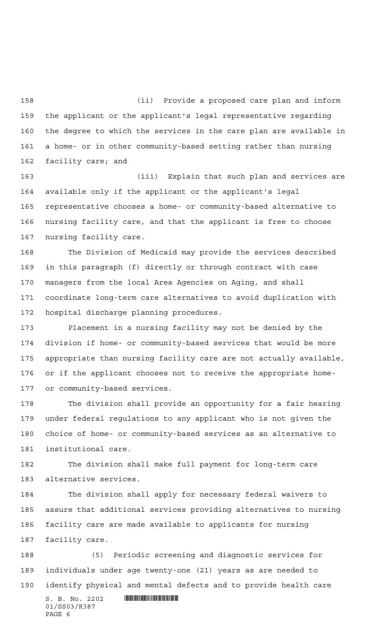(ii) Provide a proposed care plan and inform the applicant or the applicant's legal representative regarding the degree to which the services in the care plan are available in a home- or in other community-based setting rather than nursing facility care; and

 (iii) Explain that such plan and services are available only if the applicant or the applicant's legal representative chooses a home- or community-based alternative to nursing facility care, and that the applicant is free to choose nursing facility care.

 The Division of Medicaid may provide the services described in this paragraph (f) directly or through contract with case managers from the local Area Agencies on Aging, and shall coordinate long-term care alternatives to avoid duplication with hospital discharge planning procedures.

 Placement in a nursing facility may not be denied by the division if home- or community-based services that would be more appropriate than nursing facility care are not actually available, or if the applicant chooses not to receive the appropriate home-or community-based services.

 The division shall provide an opportunity for a fair hearing under federal regulations to any applicant who is not given the choice of home- or community-based services as an alternative to institutional care.

 The division shall make full payment for long-term care alternative services.

 The division shall apply for necessary federal waivers to assure that additional services providing alternatives to nursing facility care are made available to applicants for nursing facility care.

 (5) Periodic screening and diagnostic services for individuals under age twenty-one (21) years as are needed to identify physical and mental defects and to provide health care

 $S. B. No. 2202$  . The set of the set of  $S. B. N_O.$ 01/SS03/R387 PAGE 6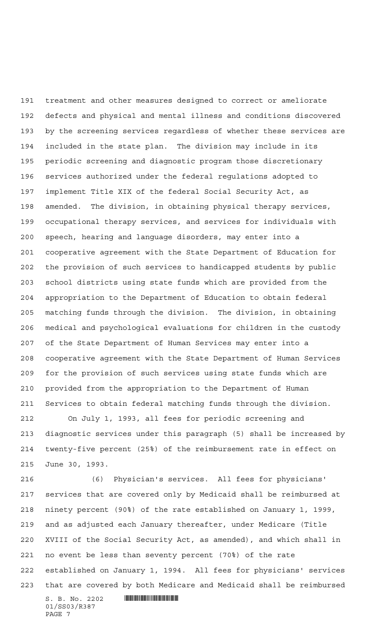treatment and other measures designed to correct or ameliorate defects and physical and mental illness and conditions discovered by the screening services regardless of whether these services are included in the state plan. The division may include in its periodic screening and diagnostic program those discretionary services authorized under the federal regulations adopted to implement Title XIX of the federal Social Security Act, as amended. The division, in obtaining physical therapy services, occupational therapy services, and services for individuals with speech, hearing and language disorders, may enter into a cooperative agreement with the State Department of Education for the provision of such services to handicapped students by public school districts using state funds which are provided from the appropriation to the Department of Education to obtain federal matching funds through the division. The division, in obtaining medical and psychological evaluations for children in the custody of the State Department of Human Services may enter into a cooperative agreement with the State Department of Human Services for the provision of such services using state funds which are provided from the appropriation to the Department of Human Services to obtain federal matching funds through the division.

 On July 1, 1993, all fees for periodic screening and diagnostic services under this paragraph (5) shall be increased by twenty-five percent (25%) of the reimbursement rate in effect on June 30, 1993.

 (6) Physician's services. All fees for physicians' services that are covered only by Medicaid shall be reimbursed at ninety percent (90%) of the rate established on January 1, 1999, and as adjusted each January thereafter, under Medicare (Title XVIII of the Social Security Act, as amended), and which shall in no event be less than seventy percent (70%) of the rate established on January 1, 1994. All fees for physicians' services that are covered by both Medicare and Medicaid shall be reimbursed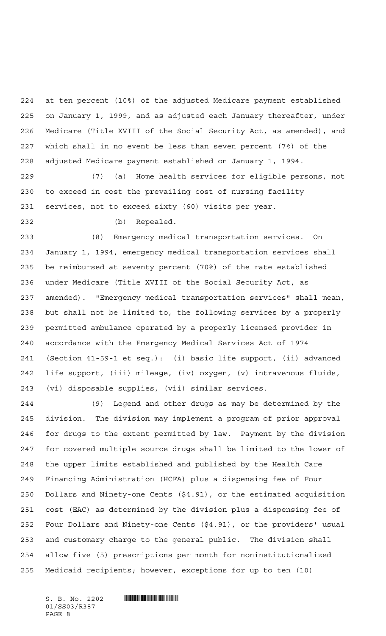at ten percent (10%) of the adjusted Medicare payment established on January 1, 1999, and as adjusted each January thereafter, under Medicare (Title XVIII of the Social Security Act, as amended), and which shall in no event be less than seven percent (7%) of the adjusted Medicare payment established on January 1, 1994.

 (7) (a) Home health services for eligible persons, not to exceed in cost the prevailing cost of nursing facility services, not to exceed sixty (60) visits per year.

(b) Repealed.

 (8) Emergency medical transportation services. On January 1, 1994, emergency medical transportation services shall be reimbursed at seventy percent (70%) of the rate established under Medicare (Title XVIII of the Social Security Act, as amended). "Emergency medical transportation services" shall mean, but shall not be limited to, the following services by a properly permitted ambulance operated by a properly licensed provider in accordance with the Emergency Medical Services Act of 1974 (Section 41-59-1 et seq.): (i) basic life support, (ii) advanced life support, (iii) mileage, (iv) oxygen, (v) intravenous fluids, (vi) disposable supplies, (vii) similar services.

 (9) Legend and other drugs as may be determined by the division. The division may implement a program of prior approval for drugs to the extent permitted by law. Payment by the division for covered multiple source drugs shall be limited to the lower of the upper limits established and published by the Health Care Financing Administration (HCFA) plus a dispensing fee of Four Dollars and Ninety-one Cents (\$4.91), or the estimated acquisition cost (EAC) as determined by the division plus a dispensing fee of Four Dollars and Ninety-one Cents (\$4.91), or the providers' usual and customary charge to the general public. The division shall allow five (5) prescriptions per month for noninstitutionalized Medicaid recipients; however, exceptions for up to ten (10)

01/SS03/R387 PAGE 8

 $S. B. No. 2202$  . The set of the set of  $S. B. N_O.$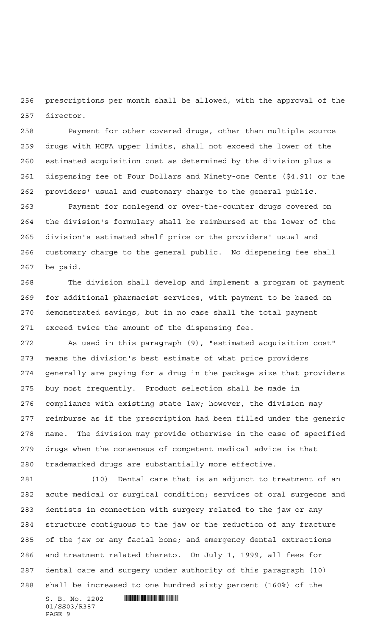prescriptions per month shall be allowed, with the approval of the director.

 Payment for other covered drugs, other than multiple source drugs with HCFA upper limits, shall not exceed the lower of the estimated acquisition cost as determined by the division plus a dispensing fee of Four Dollars and Ninety-one Cents (\$4.91) or the providers' usual and customary charge to the general public.

 Payment for nonlegend or over-the-counter drugs covered on the division's formulary shall be reimbursed at the lower of the division's estimated shelf price or the providers' usual and customary charge to the general public. No dispensing fee shall be paid.

 The division shall develop and implement a program of payment for additional pharmacist services, with payment to be based on demonstrated savings, but in no case shall the total payment exceed twice the amount of the dispensing fee.

 As used in this paragraph (9), "estimated acquisition cost" means the division's best estimate of what price providers generally are paying for a drug in the package size that providers buy most frequently. Product selection shall be made in compliance with existing state law; however, the division may reimburse as if the prescription had been filled under the generic name. The division may provide otherwise in the case of specified drugs when the consensus of competent medical advice is that trademarked drugs are substantially more effective.

 (10) Dental care that is an adjunct to treatment of an acute medical or surgical condition; services of oral surgeons and dentists in connection with surgery related to the jaw or any structure contiguous to the jaw or the reduction of any fracture of the jaw or any facial bone; and emergency dental extractions and treatment related thereto. On July 1, 1999, all fees for dental care and surgery under authority of this paragraph (10) shall be increased to one hundred sixty percent (160%) of the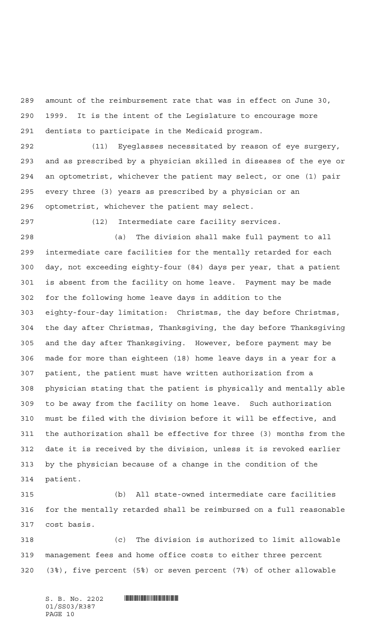amount of the reimbursement rate that was in effect on June 30, 1999. It is the intent of the Legislature to encourage more dentists to participate in the Medicaid program.

 (11) Eyeglasses necessitated by reason of eye surgery, and as prescribed by a physician skilled in diseases of the eye or an optometrist, whichever the patient may select, or one (1) pair every three (3) years as prescribed by a physician or an optometrist, whichever the patient may select.

(12) Intermediate care facility services.

 (a) The division shall make full payment to all intermediate care facilities for the mentally retarded for each day, not exceeding eighty-four (84) days per year, that a patient is absent from the facility on home leave. Payment may be made for the following home leave days in addition to the eighty-four-day limitation: Christmas, the day before Christmas, the day after Christmas, Thanksgiving, the day before Thanksgiving and the day after Thanksgiving. However, before payment may be made for more than eighteen (18) home leave days in a year for a patient, the patient must have written authorization from a physician stating that the patient is physically and mentally able to be away from the facility on home leave. Such authorization must be filed with the division before it will be effective, and the authorization shall be effective for three (3) months from the date it is received by the division, unless it is revoked earlier by the physician because of a change in the condition of the patient.

 (b) All state-owned intermediate care facilities for the mentally retarded shall be reimbursed on a full reasonable cost basis.

 (c) The division is authorized to limit allowable management fees and home office costs to either three percent (3%), five percent (5%) or seven percent (7%) of other allowable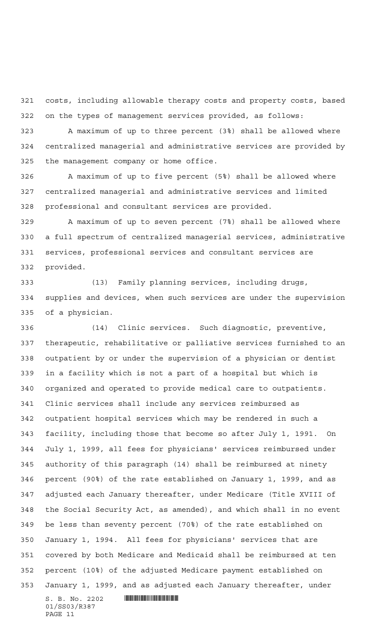costs, including allowable therapy costs and property costs, based on the types of management services provided, as follows:

 A maximum of up to three percent (3%) shall be allowed where centralized managerial and administrative services are provided by the management company or home office.

 A maximum of up to five percent (5%) shall be allowed where centralized managerial and administrative services and limited professional and consultant services are provided.

 A maximum of up to seven percent (7%) shall be allowed where a full spectrum of centralized managerial services, administrative services, professional services and consultant services are provided.

 (13) Family planning services, including drugs, supplies and devices, when such services are under the supervision of a physician.

 $S. B. No. 2202$  . So  $R387$  (14) Clinic services. Such diagnostic, preventive, therapeutic, rehabilitative or palliative services furnished to an outpatient by or under the supervision of a physician or dentist in a facility which is not a part of a hospital but which is organized and operated to provide medical care to outpatients. Clinic services shall include any services reimbursed as outpatient hospital services which may be rendered in such a facility, including those that become so after July 1, 1991. On July 1, 1999, all fees for physicians' services reimbursed under authority of this paragraph (14) shall be reimbursed at ninety percent (90%) of the rate established on January 1, 1999, and as adjusted each January thereafter, under Medicare (Title XVIII of the Social Security Act, as amended), and which shall in no event be less than seventy percent (70%) of the rate established on January 1, 1994. All fees for physicians' services that are covered by both Medicare and Medicaid shall be reimbursed at ten percent (10%) of the adjusted Medicare payment established on January 1, 1999, and as adjusted each January thereafter, under

01/SS03/R387 PAGE 11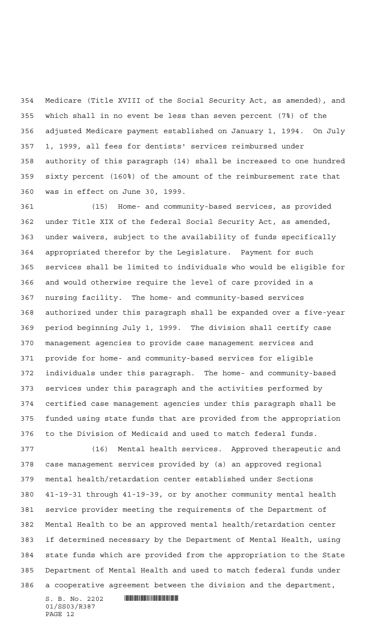Medicare (Title XVIII of the Social Security Act, as amended), and which shall in no event be less than seven percent (7%) of the adjusted Medicare payment established on January 1, 1994. On July 1, 1999, all fees for dentists' services reimbursed under authority of this paragraph (14) shall be increased to one hundred sixty percent (160%) of the amount of the reimbursement rate that was in effect on June 30, 1999.

 (15) Home- and community-based services, as provided under Title XIX of the federal Social Security Act, as amended, under waivers, subject to the availability of funds specifically appropriated therefor by the Legislature. Payment for such services shall be limited to individuals who would be eligible for and would otherwise require the level of care provided in a nursing facility. The home- and community-based services authorized under this paragraph shall be expanded over a five-year period beginning July 1, 1999. The division shall certify case management agencies to provide case management services and provide for home- and community-based services for eligible individuals under this paragraph. The home- and community-based services under this paragraph and the activities performed by certified case management agencies under this paragraph shall be funded using state funds that are provided from the appropriation to the Division of Medicaid and used to match federal funds.

 (16) Mental health services. Approved therapeutic and case management services provided by (a) an approved regional mental health/retardation center established under Sections 41-19-31 through 41-19-39, or by another community mental health service provider meeting the requirements of the Department of Mental Health to be an approved mental health/retardation center if determined necessary by the Department of Mental Health, using state funds which are provided from the appropriation to the State Department of Mental Health and used to match federal funds under a cooperative agreement between the division and the department,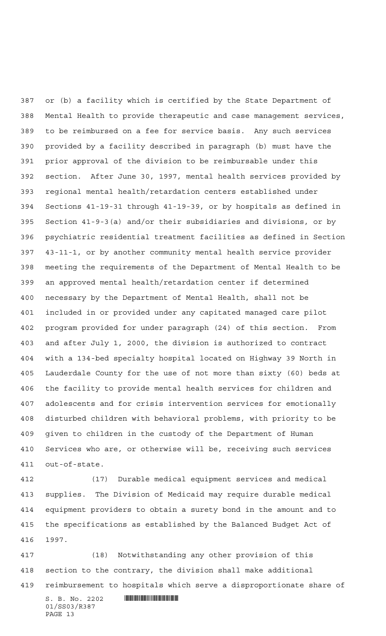or (b) a facility which is certified by the State Department of Mental Health to provide therapeutic and case management services, to be reimbursed on a fee for service basis. Any such services provided by a facility described in paragraph (b) must have the prior approval of the division to be reimbursable under this section. After June 30, 1997, mental health services provided by regional mental health/retardation centers established under Sections 41-19-31 through 41-19-39, or by hospitals as defined in Section 41-9-3(a) and/or their subsidiaries and divisions, or by psychiatric residential treatment facilities as defined in Section 43-11-1, or by another community mental health service provider meeting the requirements of the Department of Mental Health to be an approved mental health/retardation center if determined necessary by the Department of Mental Health, shall not be included in or provided under any capitated managed care pilot program provided for under paragraph (24) of this section. From and after July 1, 2000, the division is authorized to contract with a 134-bed specialty hospital located on Highway 39 North in Lauderdale County for the use of not more than sixty (60) beds at the facility to provide mental health services for children and adolescents and for crisis intervention services for emotionally disturbed children with behavioral problems, with priority to be given to children in the custody of the Department of Human Services who are, or otherwise will be, receiving such services out-of-state.

 (17) Durable medical equipment services and medical supplies. The Division of Medicaid may require durable medical equipment providers to obtain a surety bond in the amount and to the specifications as established by the Balanced Budget Act of 1997.

 (18) Notwithstanding any other provision of this section to the contrary, the division shall make additional reimbursement to hospitals which serve a disproportionate share of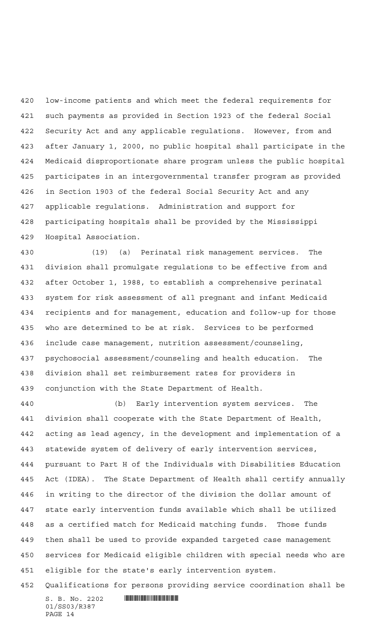low-income patients and which meet the federal requirements for such payments as provided in Section 1923 of the federal Social Security Act and any applicable regulations. However, from and after January 1, 2000, no public hospital shall participate in the Medicaid disproportionate share program unless the public hospital participates in an intergovernmental transfer program as provided in Section 1903 of the federal Social Security Act and any applicable regulations. Administration and support for participating hospitals shall be provided by the Mississippi Hospital Association.

 (19) (a) Perinatal risk management services. The division shall promulgate regulations to be effective from and after October 1, 1988, to establish a comprehensive perinatal system for risk assessment of all pregnant and infant Medicaid recipients and for management, education and follow-up for those who are determined to be at risk. Services to be performed include case management, nutrition assessment/counseling, psychosocial assessment/counseling and health education. The division shall set reimbursement rates for providers in conjunction with the State Department of Health.

 (b) Early intervention system services. The division shall cooperate with the State Department of Health, acting as lead agency, in the development and implementation of a statewide system of delivery of early intervention services, pursuant to Part H of the Individuals with Disabilities Education Act (IDEA). The State Department of Health shall certify annually in writing to the director of the division the dollar amount of state early intervention funds available which shall be utilized as a certified match for Medicaid matching funds. Those funds then shall be used to provide expanded targeted case management services for Medicaid eligible children with special needs who are eligible for the state's early intervention system.

Qualifications for persons providing service coordination shall be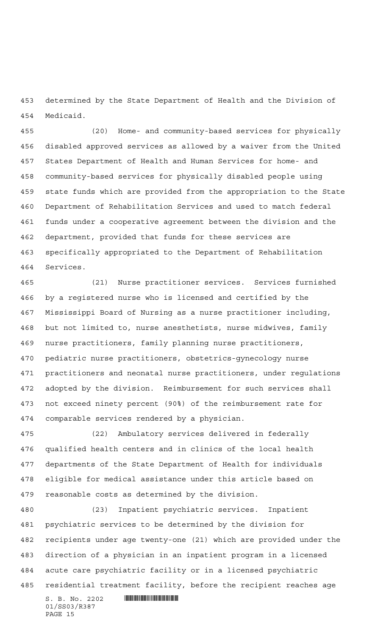determined by the State Department of Health and the Division of Medicaid.

 (20) Home- and community-based services for physically disabled approved services as allowed by a waiver from the United States Department of Health and Human Services for home- and community-based services for physically disabled people using state funds which are provided from the appropriation to the State Department of Rehabilitation Services and used to match federal funds under a cooperative agreement between the division and the department, provided that funds for these services are specifically appropriated to the Department of Rehabilitation Services.

 (21) Nurse practitioner services. Services furnished by a registered nurse who is licensed and certified by the Mississippi Board of Nursing as a nurse practitioner including, but not limited to, nurse anesthetists, nurse midwives, family nurse practitioners, family planning nurse practitioners, pediatric nurse practitioners, obstetrics-gynecology nurse practitioners and neonatal nurse practitioners, under regulations adopted by the division. Reimbursement for such services shall not exceed ninety percent (90%) of the reimbursement rate for comparable services rendered by a physician.

 (22) Ambulatory services delivered in federally qualified health centers and in clinics of the local health departments of the State Department of Health for individuals eligible for medical assistance under this article based on reasonable costs as determined by the division.

 (23) Inpatient psychiatric services. Inpatient psychiatric services to be determined by the division for recipients under age twenty-one (21) which are provided under the direction of a physician in an inpatient program in a licensed acute care psychiatric facility or in a licensed psychiatric residential treatment facility, before the recipient reaches age

 $S. B. No. 2202$  . The set of the set of  $S. B. N_O.$ 01/SS03/R387 PAGE 15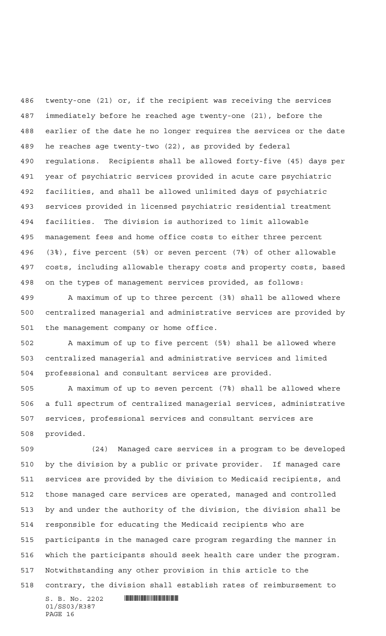twenty-one (21) or, if the recipient was receiving the services immediately before he reached age twenty-one (21), before the earlier of the date he no longer requires the services or the date he reaches age twenty-two (22), as provided by federal regulations. Recipients shall be allowed forty-five (45) days per year of psychiatric services provided in acute care psychiatric facilities, and shall be allowed unlimited days of psychiatric services provided in licensed psychiatric residential treatment facilities. The division is authorized to limit allowable management fees and home office costs to either three percent (3%), five percent (5%) or seven percent (7%) of other allowable costs, including allowable therapy costs and property costs, based on the types of management services provided, as follows:

 A maximum of up to three percent (3%) shall be allowed where centralized managerial and administrative services are provided by the management company or home office.

 A maximum of up to five percent (5%) shall be allowed where centralized managerial and administrative services and limited professional and consultant services are provided.

 A maximum of up to seven percent (7%) shall be allowed where a full spectrum of centralized managerial services, administrative services, professional services and consultant services are provided.

 (24) Managed care services in a program to be developed by the division by a public or private provider. If managed care services are provided by the division to Medicaid recipients, and those managed care services are operated, managed and controlled by and under the authority of the division, the division shall be responsible for educating the Medicaid recipients who are participants in the managed care program regarding the manner in which the participants should seek health care under the program. Notwithstanding any other provision in this article to the contrary, the division shall establish rates of reimbursement to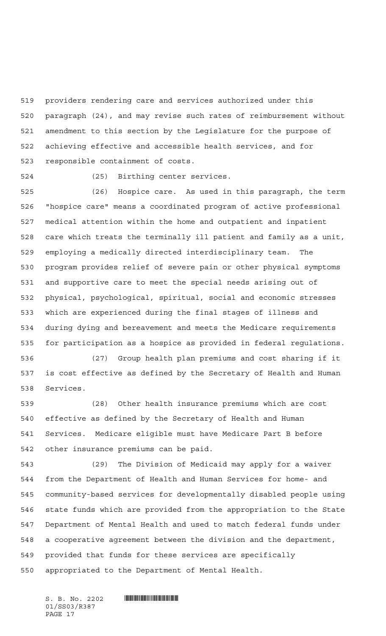providers rendering care and services authorized under this paragraph (24), and may revise such rates of reimbursement without amendment to this section by the Legislature for the purpose of achieving effective and accessible health services, and for responsible containment of costs.

(25) Birthing center services.

 (26) Hospice care. As used in this paragraph, the term "hospice care" means a coordinated program of active professional medical attention within the home and outpatient and inpatient care which treats the terminally ill patient and family as a unit, employing a medically directed interdisciplinary team. The program provides relief of severe pain or other physical symptoms and supportive care to meet the special needs arising out of physical, psychological, spiritual, social and economic stresses which are experienced during the final stages of illness and during dying and bereavement and meets the Medicare requirements for participation as a hospice as provided in federal regulations.

 (27) Group health plan premiums and cost sharing if it is cost effective as defined by the Secretary of Health and Human Services.

 (28) Other health insurance premiums which are cost effective as defined by the Secretary of Health and Human Services. Medicare eligible must have Medicare Part B before other insurance premiums can be paid.

 (29) The Division of Medicaid may apply for a waiver from the Department of Health and Human Services for home- and community-based services for developmentally disabled people using state funds which are provided from the appropriation to the State Department of Mental Health and used to match federal funds under a cooperative agreement between the division and the department, provided that funds for these services are specifically appropriated to the Department of Mental Health.

01/SS03/R387 PAGE 17

 $S. B. No. 2202$  . The set of the set of  $S. B. N_O.$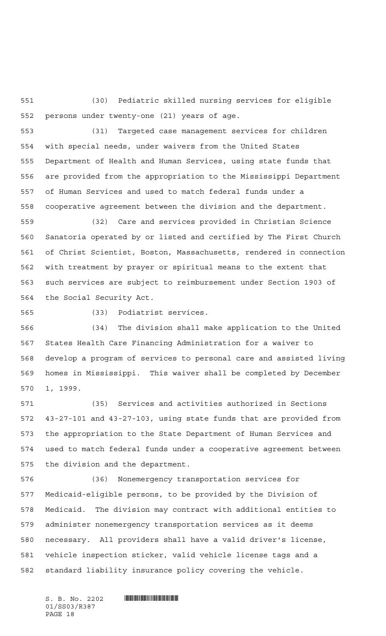(30) Pediatric skilled nursing services for eligible persons under twenty-one (21) years of age.

 (31) Targeted case management services for children with special needs, under waivers from the United States Department of Health and Human Services, using state funds that are provided from the appropriation to the Mississippi Department of Human Services and used to match federal funds under a cooperative agreement between the division and the department.

 (32) Care and services provided in Christian Science Sanatoria operated by or listed and certified by The First Church of Christ Scientist, Boston, Massachusetts, rendered in connection with treatment by prayer or spiritual means to the extent that such services are subject to reimbursement under Section 1903 of the Social Security Act.

(33) Podiatrist services.

 (34) The division shall make application to the United States Health Care Financing Administration for a waiver to develop a program of services to personal care and assisted living homes in Mississippi. This waiver shall be completed by December 1, 1999.

 (35) Services and activities authorized in Sections 43-27-101 and 43-27-103, using state funds that are provided from the appropriation to the State Department of Human Services and used to match federal funds under a cooperative agreement between the division and the department.

 (36) Nonemergency transportation services for Medicaid-eligible persons, to be provided by the Division of Medicaid. The division may contract with additional entities to administer nonemergency transportation services as it deems necessary. All providers shall have a valid driver's license, vehicle inspection sticker, valid vehicle license tags and a standard liability insurance policy covering the vehicle.

01/SS03/R387 PAGE 18

 $S. B. No. 2202$  . The set of the set of  $S. B. N_O.$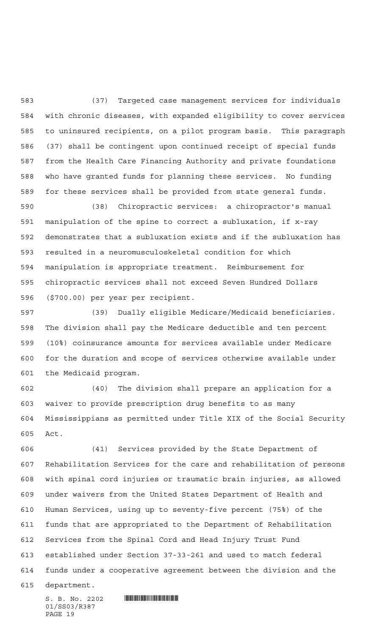(37) Targeted case management services for individuals with chronic diseases, with expanded eligibility to cover services to uninsured recipients, on a pilot program basis. This paragraph (37) shall be contingent upon continued receipt of special funds from the Health Care Financing Authority and private foundations who have granted funds for planning these services. No funding for these services shall be provided from state general funds.

 (38) Chiropractic services: a chiropractor's manual manipulation of the spine to correct a subluxation, if x-ray demonstrates that a subluxation exists and if the subluxation has resulted in a neuromusculoskeletal condition for which manipulation is appropriate treatment. Reimbursement for chiropractic services shall not exceed Seven Hundred Dollars (\$700.00) per year per recipient.

 (39) Dually eligible Medicare/Medicaid beneficiaries. The division shall pay the Medicare deductible and ten percent (10%) coinsurance amounts for services available under Medicare for the duration and scope of services otherwise available under the Medicaid program.

 (40) The division shall prepare an application for a waiver to provide prescription drug benefits to as many Mississippians as permitted under Title XIX of the Social Security Act.

 (41) Services provided by the State Department of Rehabilitation Services for the care and rehabilitation of persons with spinal cord injuries or traumatic brain injuries, as allowed under waivers from the United States Department of Health and Human Services, using up to seventy-five percent (75%) of the funds that are appropriated to the Department of Rehabilitation Services from the Spinal Cord and Head Injury Trust Fund established under Section 37-33-261 and used to match federal funds under a cooperative agreement between the division and the

department.

01/SS03/R387 PAGE 19

 $S. B. No. 2202$  . So  $R387$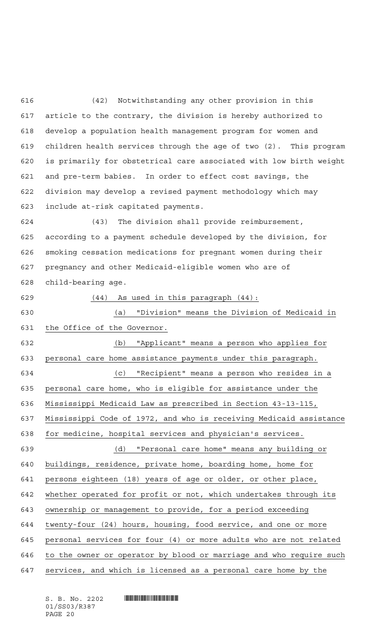(42) Notwithstanding any other provision in this article to the contrary, the division is hereby authorized to develop a population health management program for women and children health services through the age of two (2). This program is primarily for obstetrical care associated with low birth weight and pre-term babies. In order to effect cost savings, the division may develop a revised payment methodology which may include at-risk capitated payments.

 (43) The division shall provide reimbursement, according to a payment schedule developed by the division, for smoking cessation medications for pregnant women during their pregnancy and other Medicaid-eligible women who are of child-bearing age.

(44) As used in this paragraph (44):

 (a) "Division" means the Division of Medicaid in the Office of the Governor.

 (b) "Applicant" means a person who applies for personal care home assistance payments under this paragraph. (c) "Recipient" means a person who resides in a personal care home, who is eligible for assistance under the Mississippi Medicaid Law as prescribed in Section 43-13-115, Mississippi Code of 1972, and who is receiving Medicaid assistance for medicine, hospital services and physician's services. (d) "Personal care home" means any building or buildings, residence, private home, boarding home, home for persons eighteen (18) years of age or older, or other place, whether operated for profit or not, which undertakes through its ownership or management to provide, for a period exceeding twenty-four (24) hours, housing, food service, and one or more personal services for four (4) or more adults who are not related to the owner or operator by blood or marriage and who require such

services, and which is licensed as a personal care home by the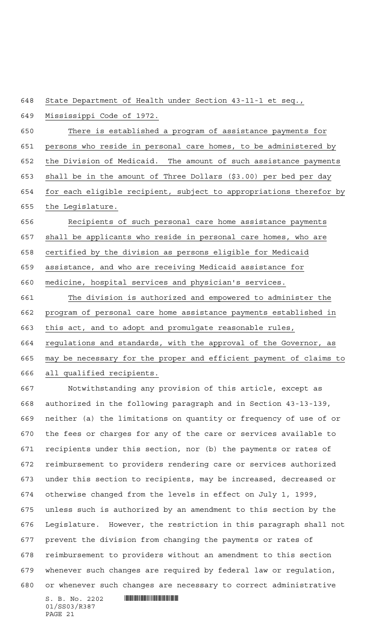State Department of Health under Section 43-11-1 et seq.,

Mississippi Code of 1972.

 There is established a program of assistance payments for 651 persons who reside in personal care homes, to be administered by the Division of Medicaid. The amount of such assistance payments shall be in the amount of Three Dollars (\$3.00) per bed per day 654 for each eligible recipient, subject to appropriations therefor by the Legislature.

 Recipients of such personal care home assistance payments shall be applicants who reside in personal care homes, who are certified by the division as persons eligible for Medicaid assistance, and who are receiving Medicaid assistance for medicine, hospital services and physician's services.

 The division is authorized and empowered to administer the program of personal care home assistance payments established in this act, and to adopt and promulgate reasonable rules, regulations and standards, with the approval of the Governor, as may be necessary for the proper and efficient payment of claims to all qualified recipients.

 Notwithstanding any provision of this article, except as authorized in the following paragraph and in Section 43-13-139, neither (a) the limitations on quantity or frequency of use of or the fees or charges for any of the care or services available to recipients under this section, nor (b) the payments or rates of reimbursement to providers rendering care or services authorized under this section to recipients, may be increased, decreased or otherwise changed from the levels in effect on July 1, 1999, unless such is authorized by an amendment to this section by the Legislature. However, the restriction in this paragraph shall not prevent the division from changing the payments or rates of reimbursement to providers without an amendment to this section whenever such changes are required by federal law or regulation, or whenever such changes are necessary to correct administrative